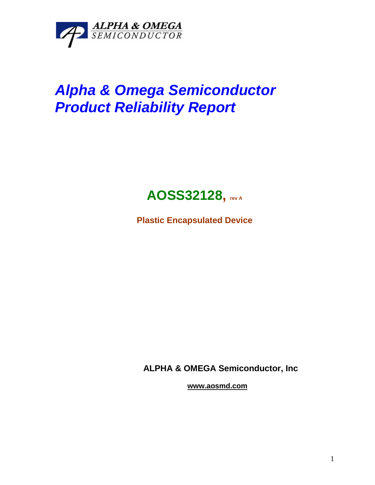

## *Alpha & Omega Semiconductor Product Reliability Report*



**Plastic Encapsulated Device**

**ALPHA & OMEGA Semiconductor, Inc**

**www.aosmd.com**